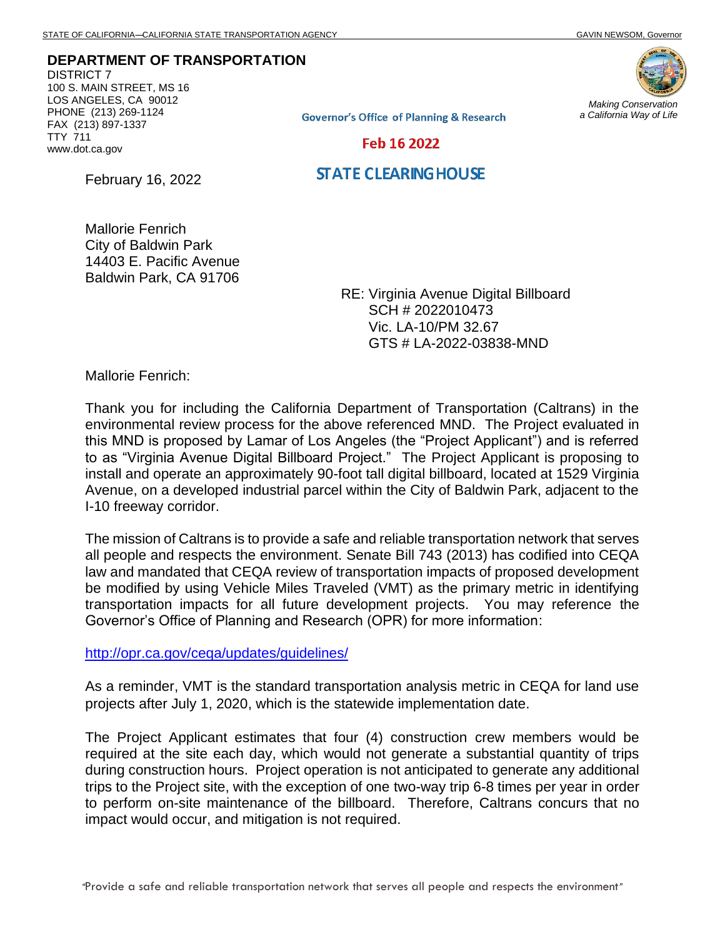**DEPARTMENT OF TRANSPORTATION** DISTRICT 7 100 S. MAIN STREET, MS 16 LOS ANGELES, CA 90012 PHONE (213) 269-1124 FAX (213) 897-1337 TTY 711

**Governor's Office of Planning & Research** 

*Making Conservation a California Way of Life*

Feb 16 2022

**STATE CLEARING HOUSE** 

February 16, 2022

www.dot.ca.gov

Mallorie Fenrich City of Baldwin Park 14403 E. Pacific Avenue Baldwin Park, CA 91706

> RE: Virginia Avenue Digital Billboard SCH # 2022010473 Vic. LA-10/PM 32.67 GTS # LA-2022-03838-MND

Mallorie Fenrich:

Thank you for including the California Department of Transportation (Caltrans) in the environmental review process for the above referenced MND. The Project evaluated in this MND is proposed by Lamar of Los Angeles (the "Project Applicant") and is referred to as "Virginia Avenue Digital Billboard Project." The Project Applicant is proposing to install and operate an approximately 90-foot tall digital billboard, located at 1529 Virginia Avenue, on a developed industrial parcel within the City of Baldwin Park, adjacent to the I-10 freeway corridor.

The mission of Caltrans is to provide a safe and reliable transportation network that serves all people and respects the environment. Senate Bill 743 (2013) has codified into CEQA law and mandated that CEQA review of transportation impacts of proposed development be modified by using Vehicle Miles Traveled (VMT) as the primary metric in identifying transportation impacts for all future development projects. You may reference the Governor's Office of Planning and Research (OPR) for more information:

<http://opr.ca.gov/ceqa/updates/guidelines/>

As a reminder, VMT is the standard transportation analysis metric in CEQA for land use projects after July 1, 2020, which is the statewide implementation date.

The Project Applicant estimates that four (4) construction crew members would be required at the site each day, which would not generate a substantial quantity of trips during construction hours. Project operation is not anticipated to generate any additional trips to the Project site, with the exception of one two-way trip 6-8 times per year in order to perform on-site maintenance of the billboard. Therefore, Caltrans concurs that no impact would occur, and mitigation is not required.